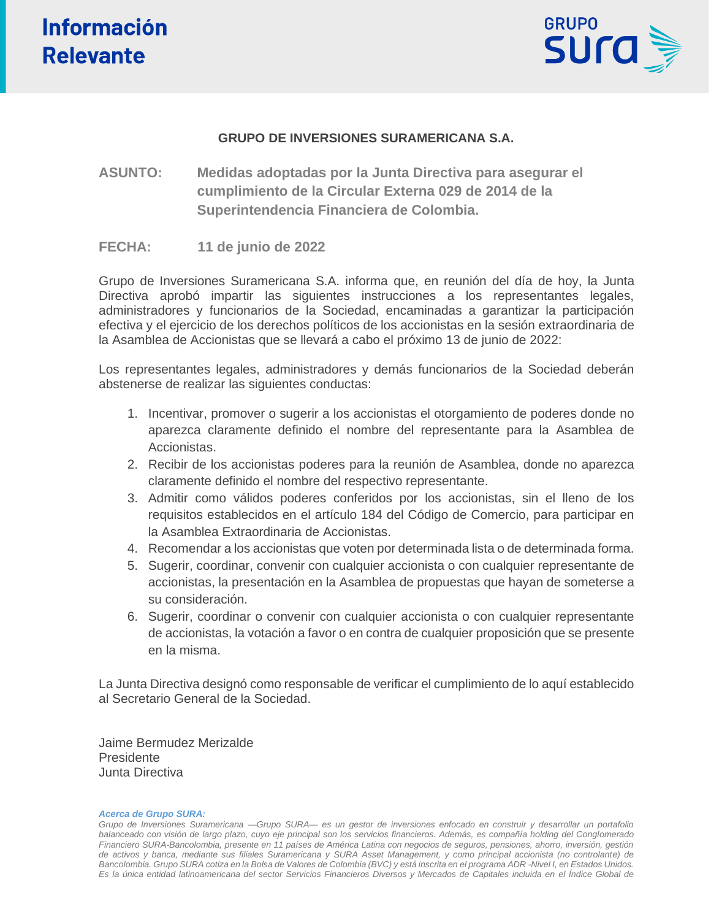

## **GRUPO DE INVERSIONES SURAMERICANA S.A.**

**ASUNTO: Medidas adoptadas por la Junta Directiva para asegurar el cumplimiento de la Circular Externa 029 de 2014 de la Superintendencia Financiera de Colombia.**

## **FECHA: 11 de junio de 2022**

Grupo de Inversiones Suramericana S.A. informa que, en reunión del día de hoy, la Junta Directiva aprobó impartir las siguientes instrucciones a los representantes legales, administradores y funcionarios de la Sociedad, encaminadas a garantizar la participación efectiva y el ejercicio de los derechos políticos de los accionistas en la sesión extraordinaria de la Asamblea de Accionistas que se llevará a cabo el próximo 13 de junio de 2022:

Los representantes legales, administradores y demás funcionarios de la Sociedad deberán abstenerse de realizar las siguientes conductas:

- 1. Incentivar, promover o sugerir a los accionistas el otorgamiento de poderes donde no aparezca claramente definido el nombre del representante para la Asamblea de Accionistas.
- 2. Recibir de los accionistas poderes para la reunión de Asamblea, donde no aparezca claramente definido el nombre del respectivo representante.
- 3. Admitir como válidos poderes conferidos por los accionistas, sin el lleno de los requisitos establecidos en el artículo 184 del Código de Comercio, para participar en la Asamblea Extraordinaria de Accionistas.
- 4. Recomendar a los accionistas que voten por determinada lista o de determinada forma.
- 5. Sugerir, coordinar, convenir con cualquier accionista o con cualquier representante de accionistas, la presentación en la Asamblea de propuestas que hayan de someterse a su consideración.
- 6. Sugerir, coordinar o convenir con cualquier accionista o con cualquier representante de accionistas, la votación a favor o en contra de cualquier proposición que se presente en la misma.

La Junta Directiva designó como responsable de verificar el cumplimiento de lo aquí establecido al Secretario General de la Sociedad.

Jaime Bermudez Merizalde Presidente Junta Directiva

#### *Acerca de Grupo SURA:*

*Grupo de Inversiones Suramericana —Grupo SURA— es un gestor de inversiones enfocado en construir y desarrollar un portafolio balanceado con visión de largo plazo, cuyo eje principal son los servicios financieros. Además, es compañía holding del Conglomerado Financiero SURA-Bancolombia, presente en 11 países de América Latina con negocios de seguros, pensiones, ahorro, inversión, gestión de activos y banca, mediante sus filiales Suramericana y SURA Asset Management, y como principal accionista (no controlante) de Bancolombia. Grupo SURA cotiza en la Bolsa de Valores de Colombia (BVC) y está inscrita en el programa ADR -Nivel I, en Estados Unidos. Es la única entidad latinoamericana del sector Servicios Financieros Diversos y Mercados de Capitales incluida en el Índice Global de*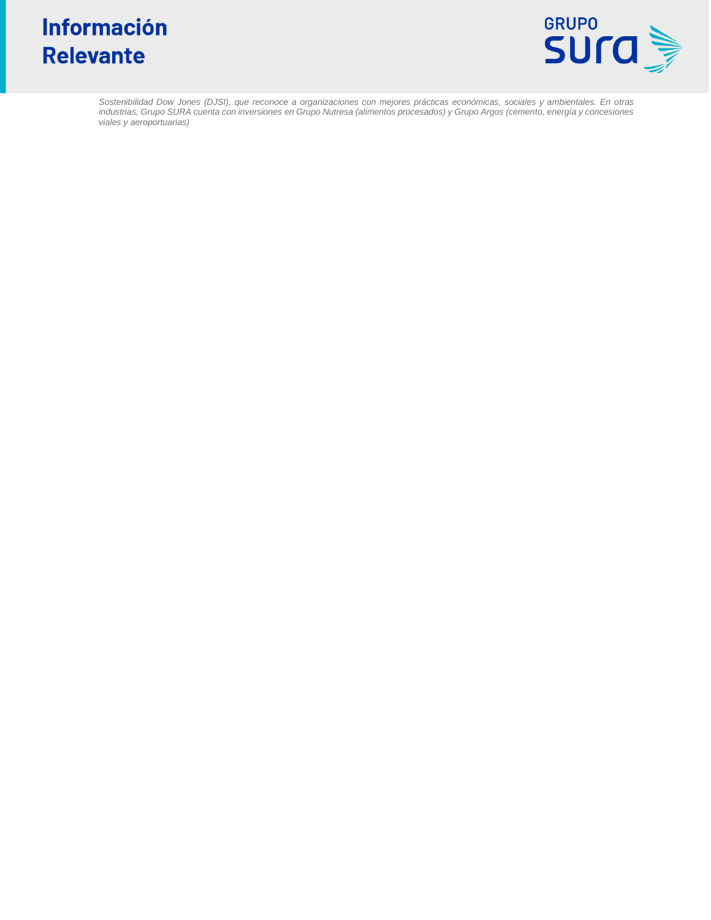# Información **Relevante**



*Sostenibilidad Dow Jones (DJSI), que reconoce a organizaciones con mejores prácticas económicas, sociales y ambientales. En otras industrias, Grupo SURA cuenta con inversiones en Grupo Nutresa (alimentos procesados) y Grupo Argos (cemento, energía y concesiones viales y aeroportuarias)*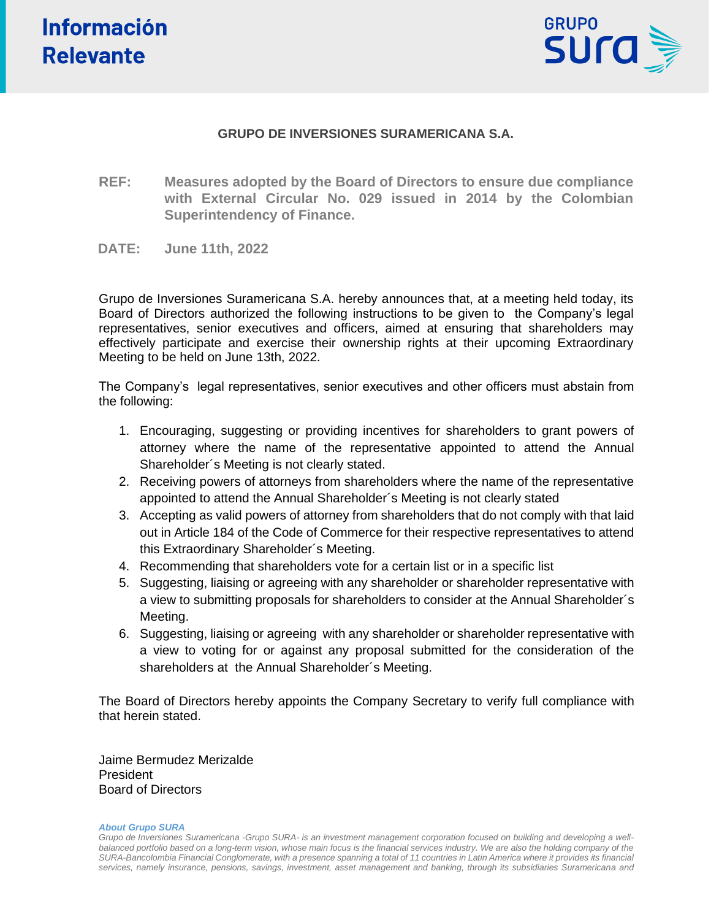

## **GRUPO DE INVERSIONES SURAMERICANA S.A.**

- **REF: Measures adopted by the Board of Directors to ensure due compliance with External Circular No. 029 issued in 2014 by the Colombian Superintendency of Finance.**
- **DATE: June 11th, 2022**

Grupo de Inversiones Suramericana S.A. hereby announces that, at a meeting held today, its Board of Directors authorized the following instructions to be given to the Company's legal representatives, senior executives and officers, aimed at ensuring that shareholders may effectively participate and exercise their ownership rights at their upcoming Extraordinary Meeting to be held on June 13th, 2022.

The Company's legal representatives, senior executives and other officers must abstain from the following:

- 1. Encouraging, suggesting or providing incentives for shareholders to grant powers of attorney where the name of the representative appointed to attend the Annual Shareholder´s Meeting is not clearly stated.
- 2. Receiving powers of attorneys from shareholders where the name of the representative appointed to attend the Annual Shareholder´s Meeting is not clearly stated
- 3. Accepting as valid powers of attorney from shareholders that do not comply with that laid out in Article 184 of the Code of Commerce for their respective representatives to attend this Extraordinary Shareholder´s Meeting.
- 4. Recommending that shareholders vote for a certain list or in a specific list
- 5. Suggesting, liaising or agreeing with any shareholder or shareholder representative with a view to submitting proposals for shareholders to consider at the Annual Shareholder´s Meeting.
- 6. Suggesting, liaising or agreeing with any shareholder or shareholder representative with a view to voting for or against any proposal submitted for the consideration of the shareholders at the Annual Shareholder´s Meeting.

The Board of Directors hereby appoints the Company Secretary to verify full compliance with that herein stated.

Jaime Bermudez Merizalde President Board of Directors

#### *About Grupo SURA*

*Grupo de Inversiones Suramericana -Grupo SURA- is an investment management corporation focused on building and developing a well*balanced portfolio based on a long-term vision, whose main focus is the financial services industry. We are also the holding company of the *SURA-Bancolombia Financial Conglomerate, with a presence spanning a total of 11 countries in Latin America where it provides its financial services, namely insurance, pensions, savings, investment, asset management and banking, through its subsidiaries Suramericana and*